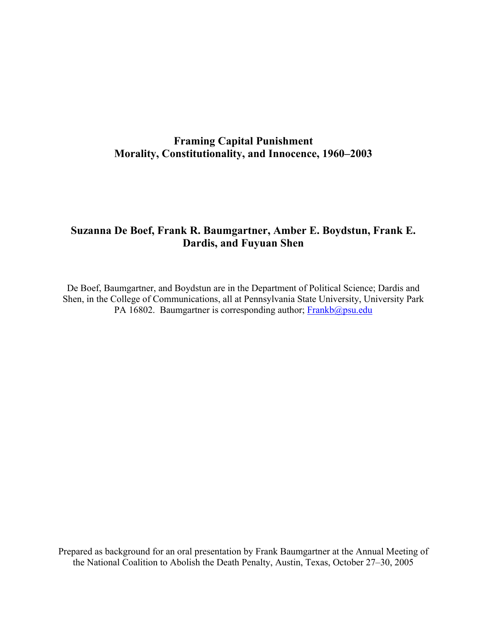# **Framing Capital Punishment Morality, Constitutionality, and Innocence, 1960–2003**

# **Suzanna De Boef, Frank R. Baumgartner, Amber E. Boydstun, Frank E. Dardis, and Fuyuan Shen**

De Boef, Baumgartner, and Boydstun are in the Department of Political Science; Dardis and Shen, in the College of Communications, all at Pennsylvania State University, University Park PA 16802. Baumgartner is corresponding author; Frankb@psu.edu

Prepared as background for an oral presentation by Frank Baumgartner at the Annual Meeting of the National Coalition to Abolish the Death Penalty, Austin, Texas, October 27–30, 2005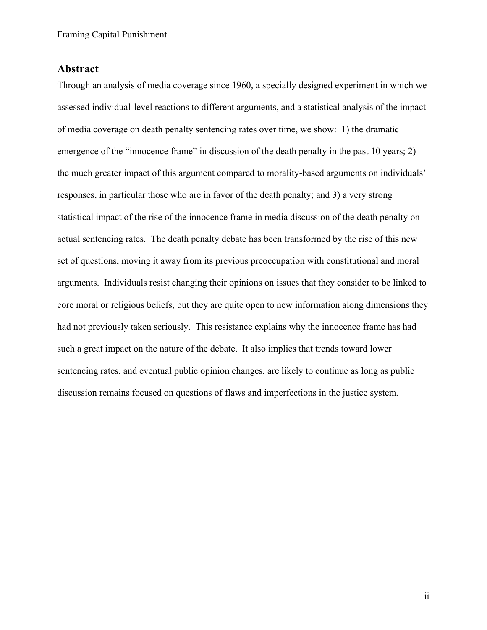## **Abstract**

Through an analysis of media coverage since 1960, a specially designed experiment in which we assessed individual-level reactions to different arguments, and a statistical analysis of the impact of media coverage on death penalty sentencing rates over time, we show: 1) the dramatic emergence of the "innocence frame" in discussion of the death penalty in the past 10 years; 2) the much greater impact of this argument compared to morality-based arguments on individuals' responses, in particular those who are in favor of the death penalty; and 3) a very strong statistical impact of the rise of the innocence frame in media discussion of the death penalty on actual sentencing rates. The death penalty debate has been transformed by the rise of this new set of questions, moving it away from its previous preoccupation with constitutional and moral arguments. Individuals resist changing their opinions on issues that they consider to be linked to core moral or religious beliefs, but they are quite open to new information along dimensions they had not previously taken seriously. This resistance explains why the innocence frame has had such a great impact on the nature of the debate. It also implies that trends toward lower sentencing rates, and eventual public opinion changes, are likely to continue as long as public discussion remains focused on questions of flaws and imperfections in the justice system.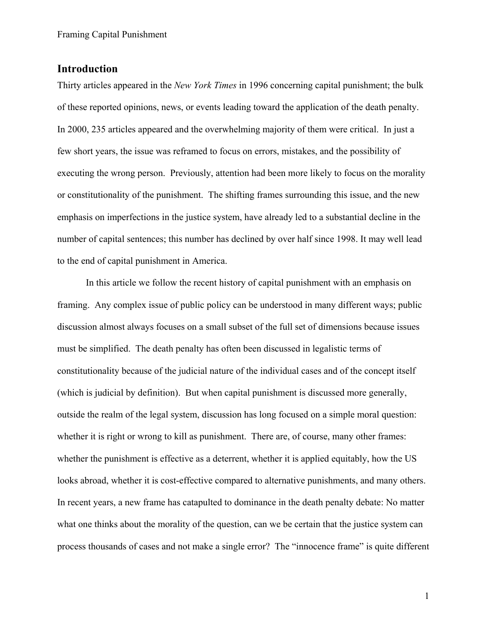# **Introduction**

Thirty articles appeared in the *New York Times* in 1996 concerning capital punishment; the bulk of these reported opinions, news, or events leading toward the application of the death penalty. In 2000, 235 articles appeared and the overwhelming majority of them were critical. In just a few short years, the issue was reframed to focus on errors, mistakes, and the possibility of executing the wrong person. Previously, attention had been more likely to focus on the morality or constitutionality of the punishment. The shifting frames surrounding this issue, and the new emphasis on imperfections in the justice system, have already led to a substantial decline in the number of capital sentences; this number has declined by over half since 1998. It may well lead to the end of capital punishment in America.

In this article we follow the recent history of capital punishment with an emphasis on framing. Any complex issue of public policy can be understood in many different ways; public discussion almost always focuses on a small subset of the full set of dimensions because issues must be simplified. The death penalty has often been discussed in legalistic terms of constitutionality because of the judicial nature of the individual cases and of the concept itself (which is judicial by definition). But when capital punishment is discussed more generally, outside the realm of the legal system, discussion has long focused on a simple moral question: whether it is right or wrong to kill as punishment. There are, of course, many other frames: whether the punishment is effective as a deterrent, whether it is applied equitably, how the US looks abroad, whether it is cost-effective compared to alternative punishments, and many others. In recent years, a new frame has catapulted to dominance in the death penalty debate: No matter what one thinks about the morality of the question, can we be certain that the justice system can process thousands of cases and not make a single error? The "innocence frame" is quite different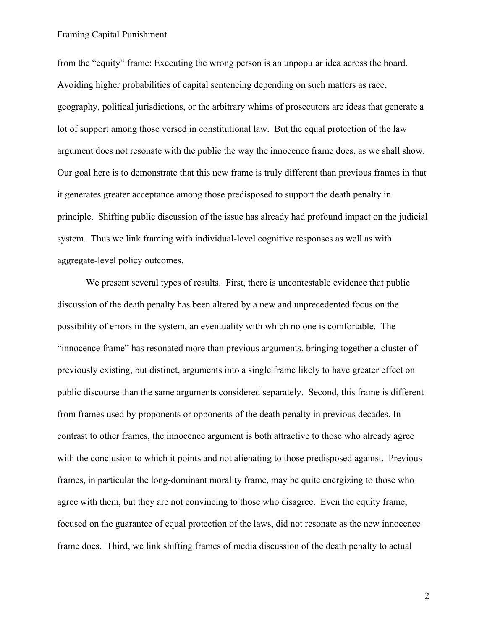from the "equity" frame: Executing the wrong person is an unpopular idea across the board. Avoiding higher probabilities of capital sentencing depending on such matters as race, geography, political jurisdictions, or the arbitrary whims of prosecutors are ideas that generate a lot of support among those versed in constitutional law. But the equal protection of the law argument does not resonate with the public the way the innocence frame does, as we shall show. Our goal here is to demonstrate that this new frame is truly different than previous frames in that it generates greater acceptance among those predisposed to support the death penalty in principle. Shifting public discussion of the issue has already had profound impact on the judicial system. Thus we link framing with individual-level cognitive responses as well as with aggregate-level policy outcomes.

We present several types of results. First, there is uncontestable evidence that public discussion of the death penalty has been altered by a new and unprecedented focus on the possibility of errors in the system, an eventuality with which no one is comfortable. The "innocence frame" has resonated more than previous arguments, bringing together a cluster of previously existing, but distinct, arguments into a single frame likely to have greater effect on public discourse than the same arguments considered separately. Second, this frame is different from frames used by proponents or opponents of the death penalty in previous decades. In contrast to other frames, the innocence argument is both attractive to those who already agree with the conclusion to which it points and not alienating to those predisposed against. Previous frames, in particular the long-dominant morality frame, may be quite energizing to those who agree with them, but they are not convincing to those who disagree. Even the equity frame, focused on the guarantee of equal protection of the laws, did not resonate as the new innocence frame does. Third, we link shifting frames of media discussion of the death penalty to actual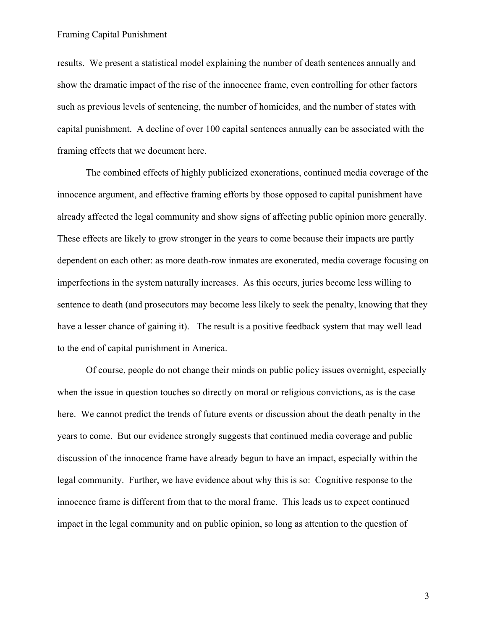results. We present a statistical model explaining the number of death sentences annually and show the dramatic impact of the rise of the innocence frame, even controlling for other factors such as previous levels of sentencing, the number of homicides, and the number of states with capital punishment. A decline of over 100 capital sentences annually can be associated with the framing effects that we document here.

The combined effects of highly publicized exonerations, continued media coverage of the innocence argument, and effective framing efforts by those opposed to capital punishment have already affected the legal community and show signs of affecting public opinion more generally. These effects are likely to grow stronger in the years to come because their impacts are partly dependent on each other: as more death-row inmates are exonerated, media coverage focusing on imperfections in the system naturally increases. As this occurs, juries become less willing to sentence to death (and prosecutors may become less likely to seek the penalty, knowing that they have a lesser chance of gaining it). The result is a positive feedback system that may well lead to the end of capital punishment in America.

Of course, people do not change their minds on public policy issues overnight, especially when the issue in question touches so directly on moral or religious convictions, as is the case here. We cannot predict the trends of future events or discussion about the death penalty in the years to come. But our evidence strongly suggests that continued media coverage and public discussion of the innocence frame have already begun to have an impact, especially within the legal community. Further, we have evidence about why this is so: Cognitive response to the innocence frame is different from that to the moral frame. This leads us to expect continued impact in the legal community and on public opinion, so long as attention to the question of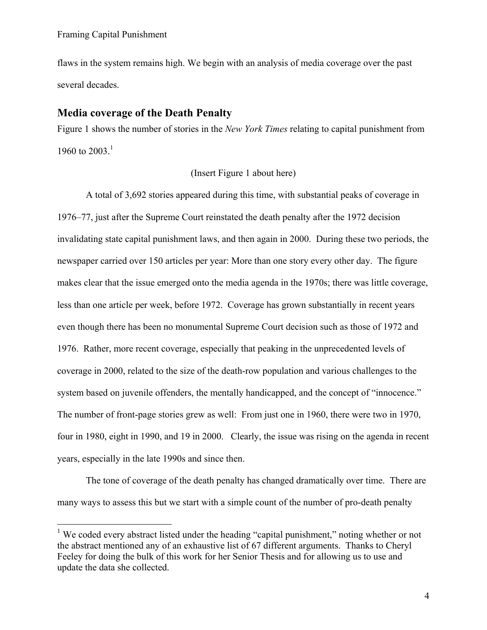$\overline{a}$ 

flaws in the system remains high. We begin with an analysis of media coverage over the past several decades.

## **Media coverage of the Death Penalty**

Figure 1 shows the number of stories in the *New York Times* relating to capital punishment from 1960 to  $2003.<sup>1</sup>$ 

## (Insert Figure 1 about here)

A total of 3,692 stories appeared during this time, with substantial peaks of coverage in 1976–77, just after the Supreme Court reinstated the death penalty after the 1972 decision invalidating state capital punishment laws, and then again in 2000. During these two periods, the newspaper carried over 150 articles per year: More than one story every other day. The figure makes clear that the issue emerged onto the media agenda in the 1970s; there was little coverage, less than one article per week, before 1972. Coverage has grown substantially in recent years even though there has been no monumental Supreme Court decision such as those of 1972 and 1976. Rather, more recent coverage, especially that peaking in the unprecedented levels of coverage in 2000, related to the size of the death-row population and various challenges to the system based on juvenile offenders, the mentally handicapped, and the concept of "innocence." The number of front-page stories grew as well: From just one in 1960, there were two in 1970, four in 1980, eight in 1990, and 19 in 2000. Clearly, the issue was rising on the agenda in recent years, especially in the late 1990s and since then.

The tone of coverage of the death penalty has changed dramatically over time. There are many ways to assess this but we start with a simple count of the number of pro-death penalty

<sup>&</sup>lt;sup>1</sup> We coded every abstract listed under the heading "capital punishment," noting whether or not the abstract mentioned any of an exhaustive list of 67 different arguments. Thanks to Cheryl Feeley for doing the bulk of this work for her Senior Thesis and for allowing us to use and update the data she collected.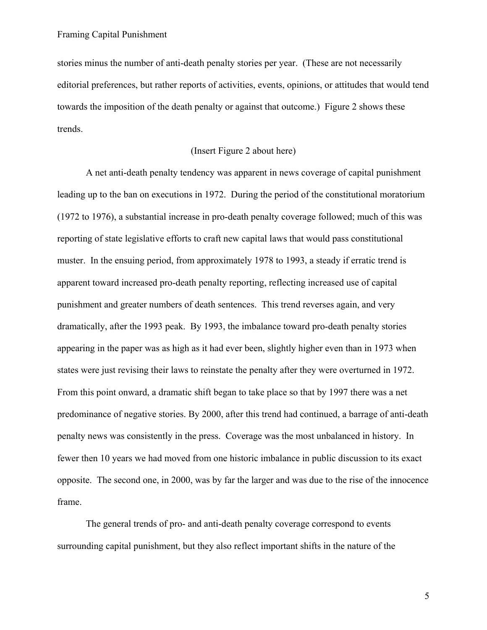stories minus the number of anti-death penalty stories per year. (These are not necessarily editorial preferences, but rather reports of activities, events, opinions, or attitudes that would tend towards the imposition of the death penalty or against that outcome.) Figure 2 shows these trends.

### (Insert Figure 2 about here)

A net anti-death penalty tendency was apparent in news coverage of capital punishment leading up to the ban on executions in 1972. During the period of the constitutional moratorium (1972 to 1976), a substantial increase in pro-death penalty coverage followed; much of this was reporting of state legislative efforts to craft new capital laws that would pass constitutional muster. In the ensuing period, from approximately 1978 to 1993, a steady if erratic trend is apparent toward increased pro-death penalty reporting, reflecting increased use of capital punishment and greater numbers of death sentences. This trend reverses again, and very dramatically, after the 1993 peak. By 1993, the imbalance toward pro-death penalty stories appearing in the paper was as high as it had ever been, slightly higher even than in 1973 when states were just revising their laws to reinstate the penalty after they were overturned in 1972. From this point onward, a dramatic shift began to take place so that by 1997 there was a net predominance of negative stories. By 2000, after this trend had continued, a barrage of anti-death penalty news was consistently in the press. Coverage was the most unbalanced in history. In fewer then 10 years we had moved from one historic imbalance in public discussion to its exact opposite. The second one, in 2000, was by far the larger and was due to the rise of the innocence frame.

The general trends of pro- and anti-death penalty coverage correspond to events surrounding capital punishment, but they also reflect important shifts in the nature of the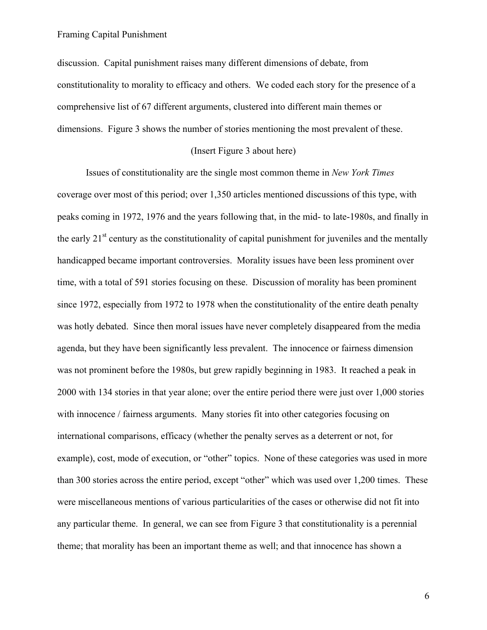discussion. Capital punishment raises many different dimensions of debate, from constitutionality to morality to efficacy and others. We coded each story for the presence of a comprehensive list of 67 different arguments, clustered into different main themes or dimensions. Figure 3 shows the number of stories mentioning the most prevalent of these.

### (Insert Figure 3 about here)

Issues of constitutionality are the single most common theme in *New York Times*  coverage over most of this period; over 1,350 articles mentioned discussions of this type, with peaks coming in 1972, 1976 and the years following that, in the mid- to late-1980s, and finally in the early  $21<sup>st</sup>$  century as the constitutionality of capital punishment for juveniles and the mentally handicapped became important controversies. Morality issues have been less prominent over time, with a total of 591 stories focusing on these. Discussion of morality has been prominent since 1972, especially from 1972 to 1978 when the constitutionality of the entire death penalty was hotly debated. Since then moral issues have never completely disappeared from the media agenda, but they have been significantly less prevalent. The innocence or fairness dimension was not prominent before the 1980s, but grew rapidly beginning in 1983. It reached a peak in 2000 with 134 stories in that year alone; over the entire period there were just over 1,000 stories with innocence / fairness arguments. Many stories fit into other categories focusing on international comparisons, efficacy (whether the penalty serves as a deterrent or not, for example), cost, mode of execution, or "other" topics. None of these categories was used in more than 300 stories across the entire period, except "other" which was used over 1,200 times. These were miscellaneous mentions of various particularities of the cases or otherwise did not fit into any particular theme. In general, we can see from Figure 3 that constitutionality is a perennial theme; that morality has been an important theme as well; and that innocence has shown a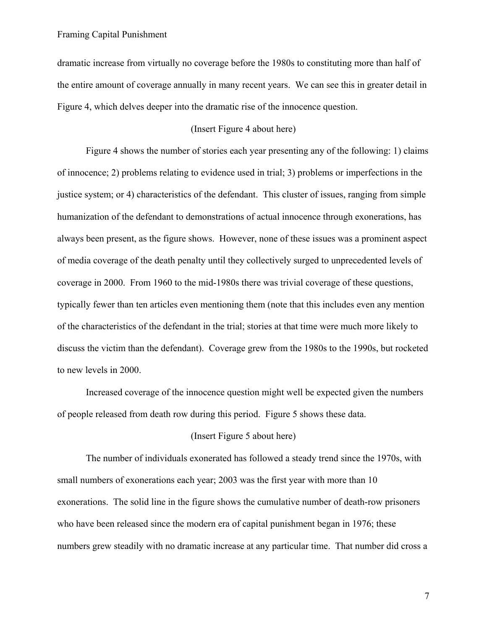dramatic increase from virtually no coverage before the 1980s to constituting more than half of the entire amount of coverage annually in many recent years. We can see this in greater detail in Figure 4, which delves deeper into the dramatic rise of the innocence question.

#### (Insert Figure 4 about here)

Figure 4 shows the number of stories each year presenting any of the following: 1) claims of innocence; 2) problems relating to evidence used in trial; 3) problems or imperfections in the justice system; or 4) characteristics of the defendant. This cluster of issues, ranging from simple humanization of the defendant to demonstrations of actual innocence through exonerations, has always been present, as the figure shows. However, none of these issues was a prominent aspect of media coverage of the death penalty until they collectively surged to unprecedented levels of coverage in 2000. From 1960 to the mid-1980s there was trivial coverage of these questions, typically fewer than ten articles even mentioning them (note that this includes even any mention of the characteristics of the defendant in the trial; stories at that time were much more likely to discuss the victim than the defendant). Coverage grew from the 1980s to the 1990s, but rocketed to new levels in 2000.

Increased coverage of the innocence question might well be expected given the numbers of people released from death row during this period. Figure 5 shows these data.

#### (Insert Figure 5 about here)

The number of individuals exonerated has followed a steady trend since the 1970s, with small numbers of exonerations each year; 2003 was the first year with more than 10 exonerations. The solid line in the figure shows the cumulative number of death-row prisoners who have been released since the modern era of capital punishment began in 1976; these numbers grew steadily with no dramatic increase at any particular time. That number did cross a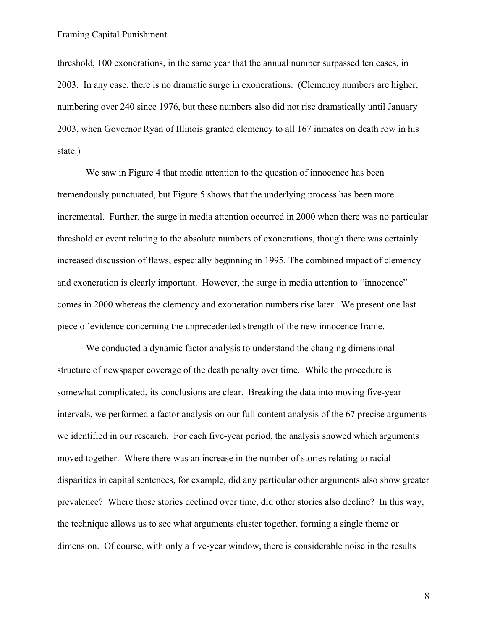threshold, 100 exonerations, in the same year that the annual number surpassed ten cases, in 2003. In any case, there is no dramatic surge in exonerations. (Clemency numbers are higher, numbering over 240 since 1976, but these numbers also did not rise dramatically until January 2003, when Governor Ryan of Illinois granted clemency to all 167 inmates on death row in his state.)

We saw in Figure 4 that media attention to the question of innocence has been tremendously punctuated, but Figure 5 shows that the underlying process has been more incremental. Further, the surge in media attention occurred in 2000 when there was no particular threshold or event relating to the absolute numbers of exonerations, though there was certainly increased discussion of flaws, especially beginning in 1995. The combined impact of clemency and exoneration is clearly important. However, the surge in media attention to "innocence" comes in 2000 whereas the clemency and exoneration numbers rise later. We present one last piece of evidence concerning the unprecedented strength of the new innocence frame.

We conducted a dynamic factor analysis to understand the changing dimensional structure of newspaper coverage of the death penalty over time. While the procedure is somewhat complicated, its conclusions are clear. Breaking the data into moving five-year intervals, we performed a factor analysis on our full content analysis of the 67 precise arguments we identified in our research. For each five-year period, the analysis showed which arguments moved together. Where there was an increase in the number of stories relating to racial disparities in capital sentences, for example, did any particular other arguments also show greater prevalence? Where those stories declined over time, did other stories also decline? In this way, the technique allows us to see what arguments cluster together, forming a single theme or dimension. Of course, with only a five-year window, there is considerable noise in the results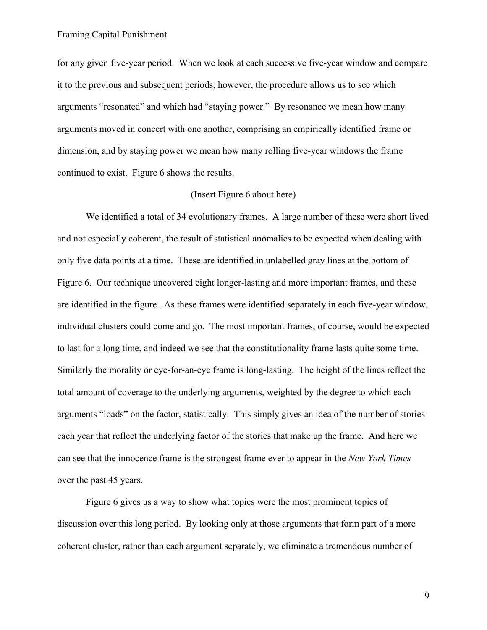for any given five-year period. When we look at each successive five-year window and compare it to the previous and subsequent periods, however, the procedure allows us to see which arguments "resonated" and which had "staying power." By resonance we mean how many arguments moved in concert with one another, comprising an empirically identified frame or dimension, and by staying power we mean how many rolling five-year windows the frame continued to exist. Figure 6 shows the results.

### (Insert Figure 6 about here)

We identified a total of 34 evolutionary frames. A large number of these were short lived and not especially coherent, the result of statistical anomalies to be expected when dealing with only five data points at a time. These are identified in unlabelled gray lines at the bottom of Figure 6. Our technique uncovered eight longer-lasting and more important frames, and these are identified in the figure. As these frames were identified separately in each five-year window, individual clusters could come and go. The most important frames, of course, would be expected to last for a long time, and indeed we see that the constitutionality frame lasts quite some time. Similarly the morality or eye-for-an-eye frame is long-lasting. The height of the lines reflect the total amount of coverage to the underlying arguments, weighted by the degree to which each arguments "loads" on the factor, statistically. This simply gives an idea of the number of stories each year that reflect the underlying factor of the stories that make up the frame. And here we can see that the innocence frame is the strongest frame ever to appear in the *New York Times* over the past 45 years.

Figure 6 gives us a way to show what topics were the most prominent topics of discussion over this long period. By looking only at those arguments that form part of a more coherent cluster, rather than each argument separately, we eliminate a tremendous number of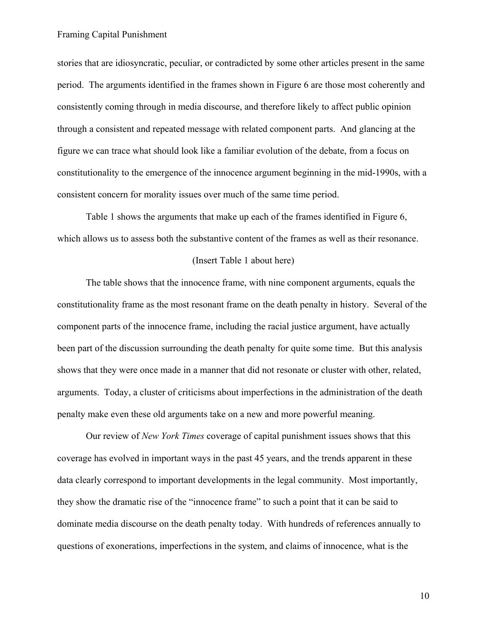stories that are idiosyncratic, peculiar, or contradicted by some other articles present in the same period. The arguments identified in the frames shown in Figure 6 are those most coherently and consistently coming through in media discourse, and therefore likely to affect public opinion through a consistent and repeated message with related component parts. And glancing at the figure we can trace what should look like a familiar evolution of the debate, from a focus on constitutionality to the emergence of the innocence argument beginning in the mid-1990s, with a consistent concern for morality issues over much of the same time period.

Table 1 shows the arguments that make up each of the frames identified in Figure 6, which allows us to assess both the substantive content of the frames as well as their resonance.

#### (Insert Table 1 about here)

The table shows that the innocence frame, with nine component arguments, equals the constitutionality frame as the most resonant frame on the death penalty in history. Several of the component parts of the innocence frame, including the racial justice argument, have actually been part of the discussion surrounding the death penalty for quite some time. But this analysis shows that they were once made in a manner that did not resonate or cluster with other, related, arguments. Today, a cluster of criticisms about imperfections in the administration of the death penalty make even these old arguments take on a new and more powerful meaning.

Our review of *New York Times* coverage of capital punishment issues shows that this coverage has evolved in important ways in the past 45 years, and the trends apparent in these data clearly correspond to important developments in the legal community. Most importantly, they show the dramatic rise of the "innocence frame" to such a point that it can be said to dominate media discourse on the death penalty today. With hundreds of references annually to questions of exonerations, imperfections in the system, and claims of innocence, what is the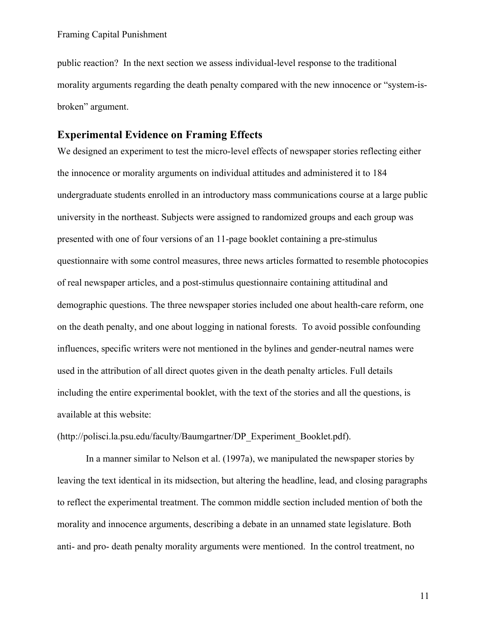public reaction? In the next section we assess individual-level response to the traditional morality arguments regarding the death penalty compared with the new innocence or "system-isbroken" argument.

## **Experimental Evidence on Framing Effects**

We designed an experiment to test the micro-level effects of newspaper stories reflecting either the innocence or morality arguments on individual attitudes and administered it to 184 undergraduate students enrolled in an introductory mass communications course at a large public university in the northeast. Subjects were assigned to randomized groups and each group was presented with one of four versions of an 11-page booklet containing a pre-stimulus questionnaire with some control measures, three news articles formatted to resemble photocopies of real newspaper articles, and a post-stimulus questionnaire containing attitudinal and demographic questions. The three newspaper stories included one about health-care reform, one on the death penalty, and one about logging in national forests. To avoid possible confounding influences, specific writers were not mentioned in the bylines and gender-neutral names were used in the attribution of all direct quotes given in the death penalty articles. Full details including the entire experimental booklet, with the text of the stories and all the questions, is available at this website:

(http://polisci.la.psu.edu/faculty/Baumgartner/DP\_Experiment\_Booklet.pdf).

In a manner similar to Nelson et al. (1997a), we manipulated the newspaper stories by leaving the text identical in its midsection, but altering the headline, lead, and closing paragraphs to reflect the experimental treatment. The common middle section included mention of both the morality and innocence arguments, describing a debate in an unnamed state legislature. Both anti- and pro- death penalty morality arguments were mentioned. In the control treatment, no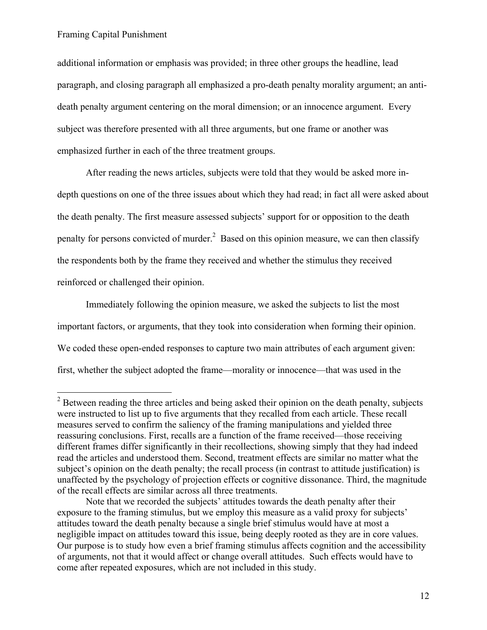$\overline{a}$ 

additional information or emphasis was provided; in three other groups the headline, lead paragraph, and closing paragraph all emphasized a pro-death penalty morality argument; an antideath penalty argument centering on the moral dimension; or an innocence argument. Every subject was therefore presented with all three arguments, but one frame or another was emphasized further in each of the three treatment groups.

After reading the news articles, subjects were told that they would be asked more indepth questions on one of the three issues about which they had read; in fact all were asked about the death penalty. The first measure assessed subjects' support for or opposition to the death penalty for persons convicted of murder.<sup>2</sup> Based on this opinion measure, we can then classify the respondents both by the frame they received and whether the stimulus they received reinforced or challenged their opinion.

Immediately following the opinion measure, we asked the subjects to list the most important factors, or arguments, that they took into consideration when forming their opinion. We coded these open-ended responses to capture two main attributes of each argument given: first, whether the subject adopted the frame—morality or innocence—that was used in the

 $2^2$  Between reading the three articles and being asked their opinion on the death penalty, subjects were instructed to list up to five arguments that they recalled from each article. These recall measures served to confirm the saliency of the framing manipulations and yielded three reassuring conclusions. First, recalls are a function of the frame received—those receiving different frames differ significantly in their recollections, showing simply that they had indeed read the articles and understood them. Second, treatment effects are similar no matter what the subject's opinion on the death penalty; the recall process (in contrast to attitude justification) is unaffected by the psychology of projection effects or cognitive dissonance. Third, the magnitude of the recall effects are similar across all three treatments.

Note that we recorded the subjects' attitudes towards the death penalty after their exposure to the framing stimulus, but we employ this measure as a valid proxy for subjects' attitudes toward the death penalty because a single brief stimulus would have at most a negligible impact on attitudes toward this issue, being deeply rooted as they are in core values. Our purpose is to study how even a brief framing stimulus affects cognition and the accessibility of arguments, not that it would affect or change overall attitudes. Such effects would have to come after repeated exposures, which are not included in this study.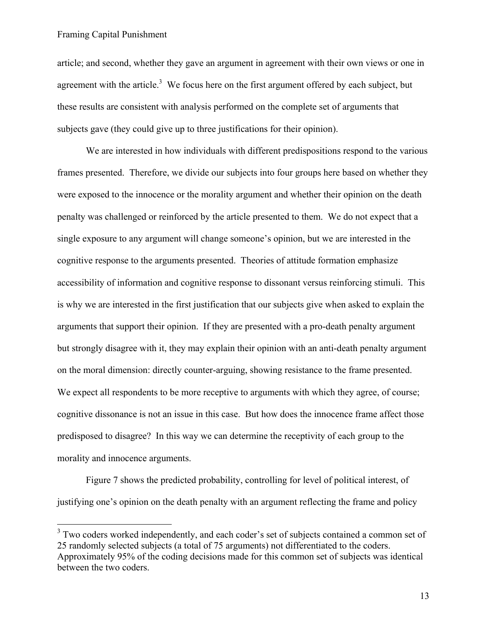$\overline{a}$ 

article; and second, whether they gave an argument in agreement with their own views or one in agreement with the article.<sup>3</sup> We focus here on the first argument offered by each subject, but these results are consistent with analysis performed on the complete set of arguments that subjects gave (they could give up to three justifications for their opinion).

We are interested in how individuals with different predispositions respond to the various frames presented. Therefore, we divide our subjects into four groups here based on whether they were exposed to the innocence or the morality argument and whether their opinion on the death penalty was challenged or reinforced by the article presented to them. We do not expect that a single exposure to any argument will change someone's opinion, but we are interested in the cognitive response to the arguments presented. Theories of attitude formation emphasize accessibility of information and cognitive response to dissonant versus reinforcing stimuli. This is why we are interested in the first justification that our subjects give when asked to explain the arguments that support their opinion. If they are presented with a pro-death penalty argument but strongly disagree with it, they may explain their opinion with an anti-death penalty argument on the moral dimension: directly counter-arguing, showing resistance to the frame presented. We expect all respondents to be more receptive to arguments with which they agree, of course; cognitive dissonance is not an issue in this case. But how does the innocence frame affect those predisposed to disagree? In this way we can determine the receptivity of each group to the morality and innocence arguments.

Figure 7 shows the predicted probability, controlling for level of political interest, of justifying one's opinion on the death penalty with an argument reflecting the frame and policy

<sup>&</sup>lt;sup>3</sup> Two coders worked independently, and each coder's set of subjects contained a common set of 25 randomly selected subjects (a total of 75 arguments) not differentiated to the coders. Approximately 95% of the coding decisions made for this common set of subjects was identical between the two coders.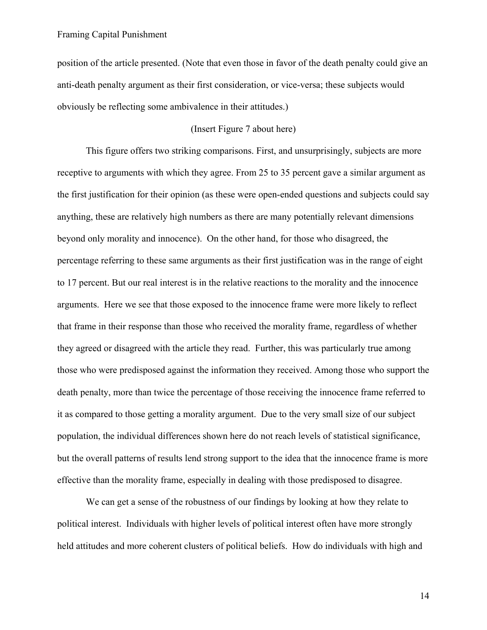position of the article presented. (Note that even those in favor of the death penalty could give an anti-death penalty argument as their first consideration, or vice-versa; these subjects would obviously be reflecting some ambivalence in their attitudes.)

### (Insert Figure 7 about here)

This figure offers two striking comparisons. First, and unsurprisingly, subjects are more receptive to arguments with which they agree. From 25 to 35 percent gave a similar argument as the first justification for their opinion (as these were open-ended questions and subjects could say anything, these are relatively high numbers as there are many potentially relevant dimensions beyond only morality and innocence). On the other hand, for those who disagreed, the percentage referring to these same arguments as their first justification was in the range of eight to 17 percent. But our real interest is in the relative reactions to the morality and the innocence arguments. Here we see that those exposed to the innocence frame were more likely to reflect that frame in their response than those who received the morality frame, regardless of whether they agreed or disagreed with the article they read. Further, this was particularly true among those who were predisposed against the information they received. Among those who support the death penalty, more than twice the percentage of those receiving the innocence frame referred to it as compared to those getting a morality argument. Due to the very small size of our subject population, the individual differences shown here do not reach levels of statistical significance, but the overall patterns of results lend strong support to the idea that the innocence frame is more effective than the morality frame, especially in dealing with those predisposed to disagree.

We can get a sense of the robustness of our findings by looking at how they relate to political interest. Individuals with higher levels of political interest often have more strongly held attitudes and more coherent clusters of political beliefs. How do individuals with high and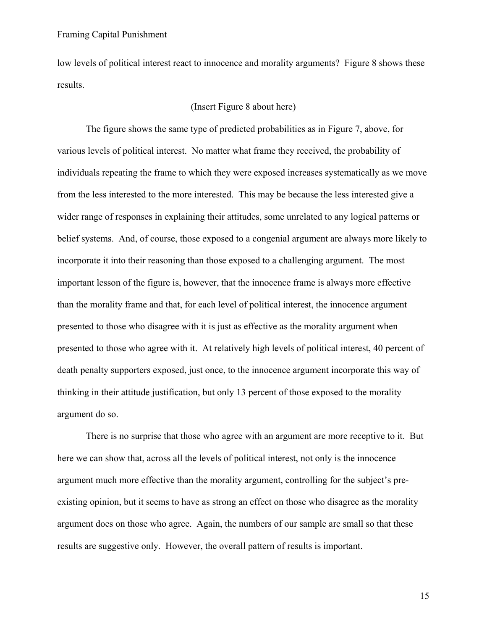low levels of political interest react to innocence and morality arguments? Figure 8 shows these results.

## (Insert Figure 8 about here)

The figure shows the same type of predicted probabilities as in Figure 7, above, for various levels of political interest. No matter what frame they received, the probability of individuals repeating the frame to which they were exposed increases systematically as we move from the less interested to the more interested. This may be because the less interested give a wider range of responses in explaining their attitudes, some unrelated to any logical patterns or belief systems. And, of course, those exposed to a congenial argument are always more likely to incorporate it into their reasoning than those exposed to a challenging argument. The most important lesson of the figure is, however, that the innocence frame is always more effective than the morality frame and that, for each level of political interest, the innocence argument presented to those who disagree with it is just as effective as the morality argument when presented to those who agree with it. At relatively high levels of political interest, 40 percent of death penalty supporters exposed, just once, to the innocence argument incorporate this way of thinking in their attitude justification, but only 13 percent of those exposed to the morality argument do so.

There is no surprise that those who agree with an argument are more receptive to it. But here we can show that, across all the levels of political interest, not only is the innocence argument much more effective than the morality argument, controlling for the subject's preexisting opinion, but it seems to have as strong an effect on those who disagree as the morality argument does on those who agree. Again, the numbers of our sample are small so that these results are suggestive only. However, the overall pattern of results is important.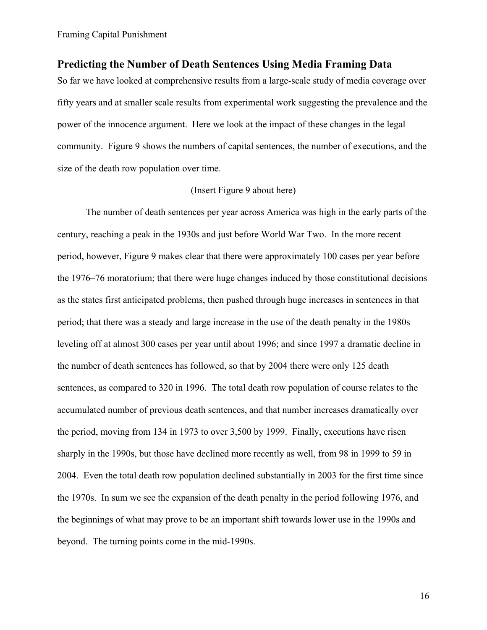## **Predicting the Number of Death Sentences Using Media Framing Data**

So far we have looked at comprehensive results from a large-scale study of media coverage over fifty years and at smaller scale results from experimental work suggesting the prevalence and the power of the innocence argument. Here we look at the impact of these changes in the legal community. Figure 9 shows the numbers of capital sentences, the number of executions, and the size of the death row population over time.

### (Insert Figure 9 about here)

The number of death sentences per year across America was high in the early parts of the century, reaching a peak in the 1930s and just before World War Two. In the more recent period, however, Figure 9 makes clear that there were approximately 100 cases per year before the 1976–76 moratorium; that there were huge changes induced by those constitutional decisions as the states first anticipated problems, then pushed through huge increases in sentences in that period; that there was a steady and large increase in the use of the death penalty in the 1980s leveling off at almost 300 cases per year until about 1996; and since 1997 a dramatic decline in the number of death sentences has followed, so that by 2004 there were only 125 death sentences, as compared to 320 in 1996. The total death row population of course relates to the accumulated number of previous death sentences, and that number increases dramatically over the period, moving from 134 in 1973 to over 3,500 by 1999. Finally, executions have risen sharply in the 1990s, but those have declined more recently as well, from 98 in 1999 to 59 in 2004. Even the total death row population declined substantially in 2003 for the first time since the 1970s. In sum we see the expansion of the death penalty in the period following 1976, and the beginnings of what may prove to be an important shift towards lower use in the 1990s and beyond. The turning points come in the mid-1990s.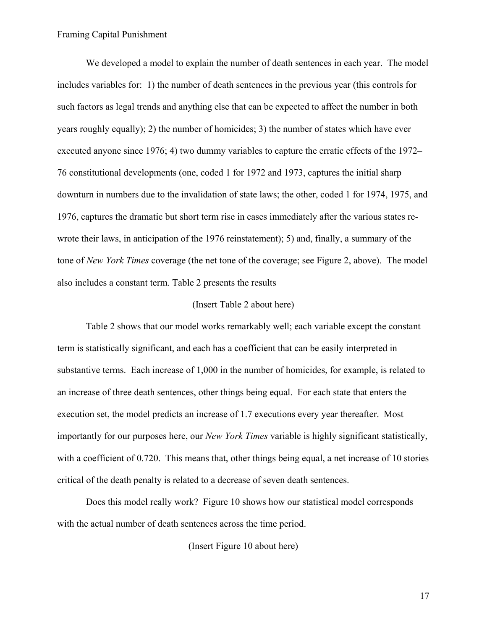We developed a model to explain the number of death sentences in each year. The model includes variables for: 1) the number of death sentences in the previous year (this controls for such factors as legal trends and anything else that can be expected to affect the number in both years roughly equally); 2) the number of homicides; 3) the number of states which have ever executed anyone since 1976; 4) two dummy variables to capture the erratic effects of the 1972– 76 constitutional developments (one, coded 1 for 1972 and 1973, captures the initial sharp downturn in numbers due to the invalidation of state laws; the other, coded 1 for 1974, 1975, and 1976, captures the dramatic but short term rise in cases immediately after the various states rewrote their laws, in anticipation of the 1976 reinstatement); 5) and, finally, a summary of the tone of *New York Times* coverage (the net tone of the coverage; see Figure 2, above). The model also includes a constant term. Table 2 presents the results

#### (Insert Table 2 about here)

Table 2 shows that our model works remarkably well; each variable except the constant term is statistically significant, and each has a coefficient that can be easily interpreted in substantive terms. Each increase of 1,000 in the number of homicides, for example, is related to an increase of three death sentences, other things being equal. For each state that enters the execution set, the model predicts an increase of 1.7 executions every year thereafter. Most importantly for our purposes here, our *New York Times* variable is highly significant statistically, with a coefficient of 0.720. This means that, other things being equal, a net increase of 10 stories critical of the death penalty is related to a decrease of seven death sentences.

Does this model really work? Figure 10 shows how our statistical model corresponds with the actual number of death sentences across the time period.

(Insert Figure 10 about here)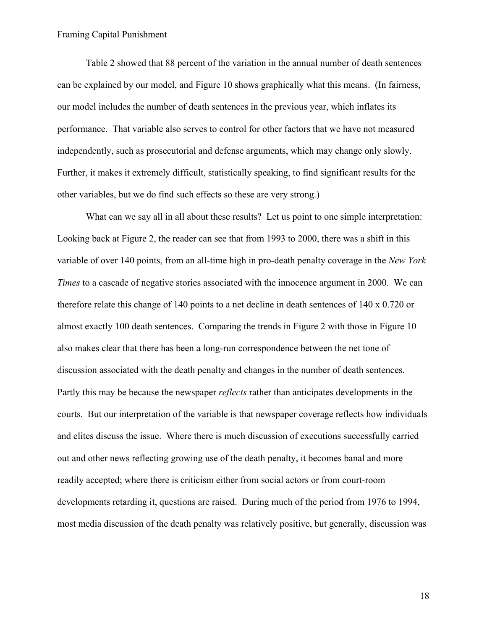Table 2 showed that 88 percent of the variation in the annual number of death sentences can be explained by our model, and Figure 10 shows graphically what this means. (In fairness, our model includes the number of death sentences in the previous year, which inflates its performance. That variable also serves to control for other factors that we have not measured independently, such as prosecutorial and defense arguments, which may change only slowly. Further, it makes it extremely difficult, statistically speaking, to find significant results for the other variables, but we do find such effects so these are very strong.)

What can we say all in all about these results? Let us point to one simple interpretation: Looking back at Figure 2, the reader can see that from 1993 to 2000, there was a shift in this variable of over 140 points, from an all-time high in pro-death penalty coverage in the *New York Times* to a cascade of negative stories associated with the innocence argument in 2000. We can therefore relate this change of 140 points to a net decline in death sentences of 140 x 0.720 or almost exactly 100 death sentences. Comparing the trends in Figure 2 with those in Figure 10 also makes clear that there has been a long-run correspondence between the net tone of discussion associated with the death penalty and changes in the number of death sentences. Partly this may be because the newspaper *reflects* rather than anticipates developments in the courts. But our interpretation of the variable is that newspaper coverage reflects how individuals and elites discuss the issue. Where there is much discussion of executions successfully carried out and other news reflecting growing use of the death penalty, it becomes banal and more readily accepted; where there is criticism either from social actors or from court-room developments retarding it, questions are raised. During much of the period from 1976 to 1994, most media discussion of the death penalty was relatively positive, but generally, discussion was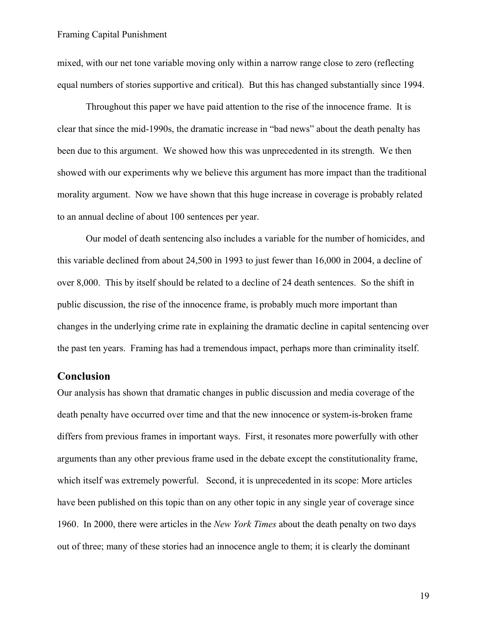mixed, with our net tone variable moving only within a narrow range close to zero (reflecting equal numbers of stories supportive and critical). But this has changed substantially since 1994.

Throughout this paper we have paid attention to the rise of the innocence frame. It is clear that since the mid-1990s, the dramatic increase in "bad news" about the death penalty has been due to this argument. We showed how this was unprecedented in its strength. We then showed with our experiments why we believe this argument has more impact than the traditional morality argument. Now we have shown that this huge increase in coverage is probably related to an annual decline of about 100 sentences per year.

Our model of death sentencing also includes a variable for the number of homicides, and this variable declined from about 24,500 in 1993 to just fewer than 16,000 in 2004, a decline of over 8,000. This by itself should be related to a decline of 24 death sentences. So the shift in public discussion, the rise of the innocence frame, is probably much more important than changes in the underlying crime rate in explaining the dramatic decline in capital sentencing over the past ten years. Framing has had a tremendous impact, perhaps more than criminality itself.

## **Conclusion**

Our analysis has shown that dramatic changes in public discussion and media coverage of the death penalty have occurred over time and that the new innocence or system-is-broken frame differs from previous frames in important ways. First, it resonates more powerfully with other arguments than any other previous frame used in the debate except the constitutionality frame, which itself was extremely powerful. Second, it is unprecedented in its scope: More articles have been published on this topic than on any other topic in any single year of coverage since 1960. In 2000, there were articles in the *New York Times* about the death penalty on two days out of three; many of these stories had an innocence angle to them; it is clearly the dominant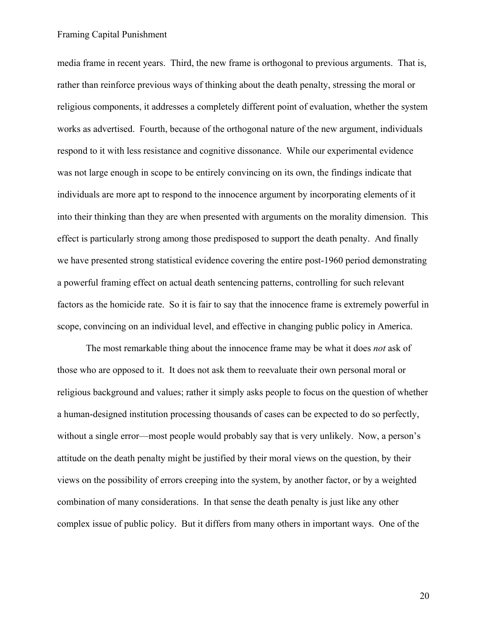media frame in recent years. Third, the new frame is orthogonal to previous arguments. That is, rather than reinforce previous ways of thinking about the death penalty, stressing the moral or religious components, it addresses a completely different point of evaluation, whether the system works as advertised. Fourth, because of the orthogonal nature of the new argument, individuals respond to it with less resistance and cognitive dissonance. While our experimental evidence was not large enough in scope to be entirely convincing on its own, the findings indicate that individuals are more apt to respond to the innocence argument by incorporating elements of it into their thinking than they are when presented with arguments on the morality dimension. This effect is particularly strong among those predisposed to support the death penalty. And finally we have presented strong statistical evidence covering the entire post-1960 period demonstrating a powerful framing effect on actual death sentencing patterns, controlling for such relevant factors as the homicide rate. So it is fair to say that the innocence frame is extremely powerful in scope, convincing on an individual level, and effective in changing public policy in America.

The most remarkable thing about the innocence frame may be what it does *not* ask of those who are opposed to it. It does not ask them to reevaluate their own personal moral or religious background and values; rather it simply asks people to focus on the question of whether a human-designed institution processing thousands of cases can be expected to do so perfectly, without a single error—most people would probably say that is very unlikely. Now, a person's attitude on the death penalty might be justified by their moral views on the question, by their views on the possibility of errors creeping into the system, by another factor, or by a weighted combination of many considerations. In that sense the death penalty is just like any other complex issue of public policy. But it differs from many others in important ways. One of the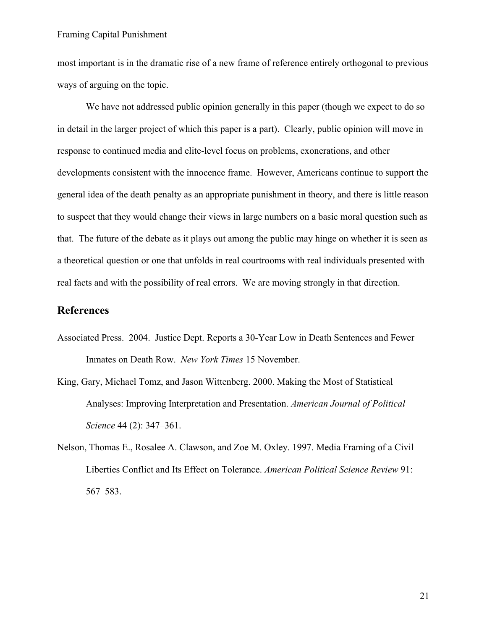most important is in the dramatic rise of a new frame of reference entirely orthogonal to previous ways of arguing on the topic.

We have not addressed public opinion generally in this paper (though we expect to do so in detail in the larger project of which this paper is a part). Clearly, public opinion will move in response to continued media and elite-level focus on problems, exonerations, and other developments consistent with the innocence frame. However, Americans continue to support the general idea of the death penalty as an appropriate punishment in theory, and there is little reason to suspect that they would change their views in large numbers on a basic moral question such as that. The future of the debate as it plays out among the public may hinge on whether it is seen as a theoretical question or one that unfolds in real courtrooms with real individuals presented with real facts and with the possibility of real errors. We are moving strongly in that direction.

## **References**

- Associated Press. 2004. Justice Dept. Reports a 30-Year Low in Death Sentences and Fewer Inmates on Death Row. *New York Times* 15 November.
- King, Gary, Michael Tomz, and Jason Wittenberg. 2000. Making the Most of Statistical Analyses: Improving Interpretation and Presentation. *American Journal of Political Science* 44 (2): 347–361.
- Nelson, Thomas E., Rosalee A. Clawson, and Zoe M. Oxley. 1997. Media Framing of a Civil Liberties Conflict and Its Effect on Tolerance. *American Political Science Review* 91: 567–583.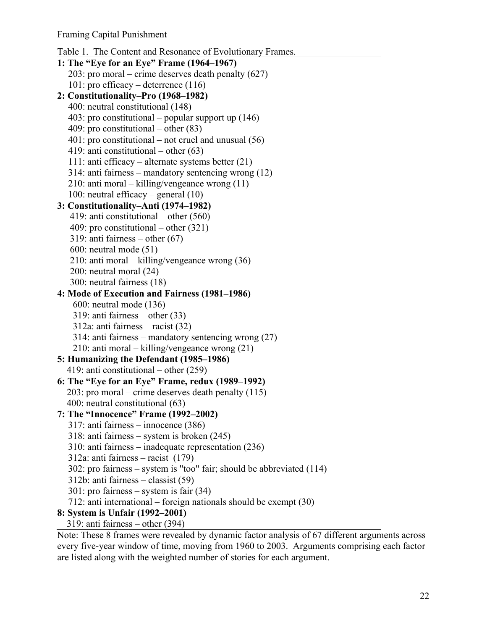```
Table 1. The Content and Resonance of Evolutionary Frames. 
1: The "Eye for an Eye" Frame (1964–1967) 
  203: pro moral – crime deserves death penalty (627) 
  101: pro efficacy – deterrence (116) 
2: Constitutionality–Pro (1968–1982) 
  400: neutral constitutional (148) 
  403: pro constitutional – popular support up (146) 
  409: pro constitutional – other (83) 
  401: pro constitutional – not cruel and unusual (56)
  419: anti constitutional – other (63) 
  111: anti efficacy – alternate systems better (21) 
  314: anti fairness – mandatory sentencing wrong (12) 
  210: anti moral – killing/vengeance wrong (11) 
  100: neutral efficacy – general (10) 
3: Constitutionality–Anti (1974–1982) 
   419: anti constitutional – other (560) 
   409: pro constitutional – other (321) 
   319: anti fairness – other (67) 
   600: neutral mode (51) 
   210: anti moral – killing/vengeance wrong (36) 
   200: neutral moral (24) 
   300: neutral fairness (18) 
4: Mode of Execution and Fairness (1981–1986) 
    600: neutral mode (136) 
    319: anti fairness – other (33) 
    312a: anti fairness – racist (32) 
    314: anti fairness – mandatory sentencing wrong (27) 
    210: anti moral – killing/vengeance wrong (21) 
5: Humanizing the Defendant (1985–1986) 
  419: anti constitutional – other (259) 
6: The "Eye for an Eye" Frame, redux (1989–1992) 
  203: pro moral – crime deserves death penalty (115) 
  400: neutral constitutional (63) 
7: The "Innocence" Frame (1992–2002) 
  317: anti fairness – innocence (386) 
  318: anti fairness – system is broken (245) 
  310: anti fairness – inadequate representation (236) 
  312a: anti fairness – racist (179) 
  302: pro fairness – system is "too" fair; should be abbreviated (114) 
  312b: anti fairness – classist (59) 
  301: pro fairness – system is fair (34) 
  712: anti international – foreign nationals should be exempt (30) 
8: System is Unfair (1992–2001) 
  319: anti fairness – other (394)
```
Note: These 8 frames were revealed by dynamic factor analysis of 67 different arguments across every five-year window of time, moving from 1960 to 2003. Arguments comprising each factor are listed along with the weighted number of stories for each argument.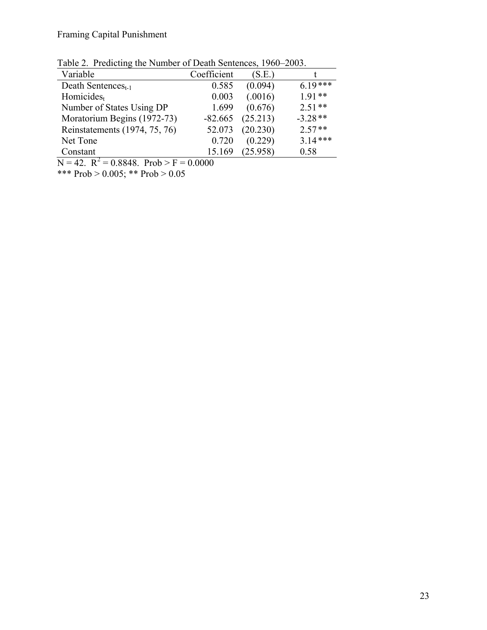|  | Table 2. Predicting the Number of Death Sentences, 1960–2003. |  |
|--|---------------------------------------------------------------|--|
|  |                                                               |  |

| Variable                       | Coefficient | (S.E.)   |           |
|--------------------------------|-------------|----------|-----------|
| Death Sentences <sub>t-1</sub> | 0.585       | (0.094)  | $6.19***$ |
| Homicides <sub>t</sub>         | 0.003       | (.0016)  | $191**$   |
| Number of States Using DP      | 1.699       | (0.676)  | $2.51**$  |
| Moratorium Begins (1972-73)    | $-82.665$   | (25.213) | $-3.28**$ |
| Reinstatements (1974, 75, 76)  | 52.073      | (20.230) | $2.57**$  |
| Net Tone                       | 0.720       | (0.229)  | $3.14***$ |
| Constant                       | 15.169      | (25.958) | 0.58      |

 $N = 42$ .  $R^2 = 0.8848$ . Prob > F = 0.0000

\*\*\* Prob >  $0.005$ ; \*\* Prob >  $0.05$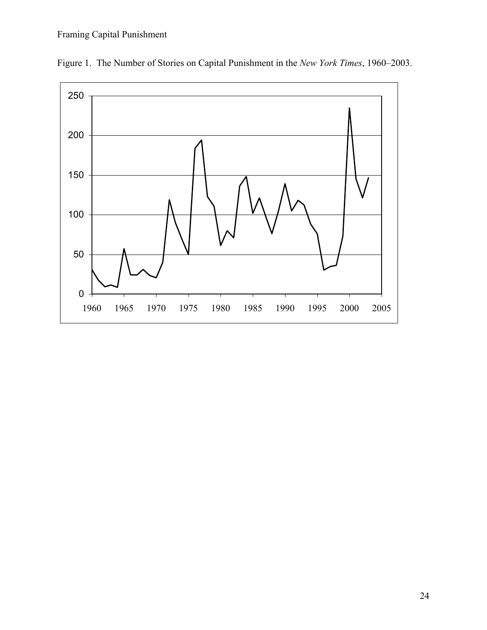

Figure 1. The Number of Stories on Capital Punishment in the *New York Times*, 1960–2003.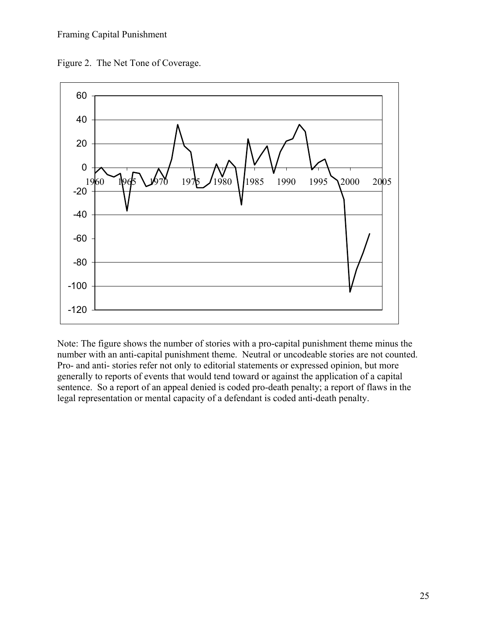



Note: The figure shows the number of stories with a pro-capital punishment theme minus the number with an anti-capital punishment theme. Neutral or uncodeable stories are not counted. Pro- and anti- stories refer not only to editorial statements or expressed opinion, but more generally to reports of events that would tend toward or against the application of a capital sentence. So a report of an appeal denied is coded pro-death penalty; a report of flaws in the legal representation or mental capacity of a defendant is coded anti-death penalty.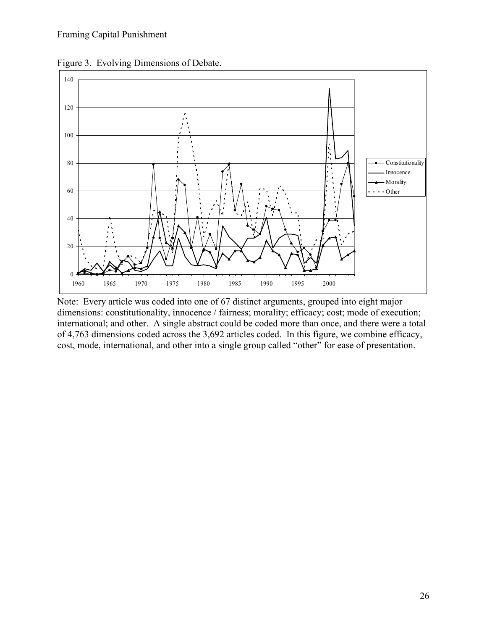

Figure 3. Evolving Dimensions of Debate.

Note: Every article was coded into one of 67 distinct arguments, grouped into eight major dimensions: constitutionality, innocence / fairness; morality; efficacy; cost; mode of execution; international; and other. A single abstract could be coded more than once, and there were a total of 4,763 dimensions coded across the 3,692 articles coded. In this figure, we combine efficacy, cost, mode, international, and other into a single group called "other" for ease of presentation.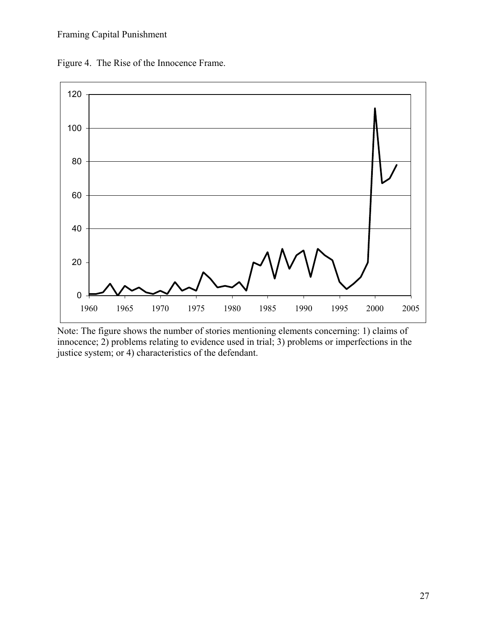Figure 4. The Rise of the Innocence Frame.



Note: The figure shows the number of stories mentioning elements concerning: 1) claims of innocence; 2) problems relating to evidence used in trial; 3) problems or imperfections in the justice system; or 4) characteristics of the defendant.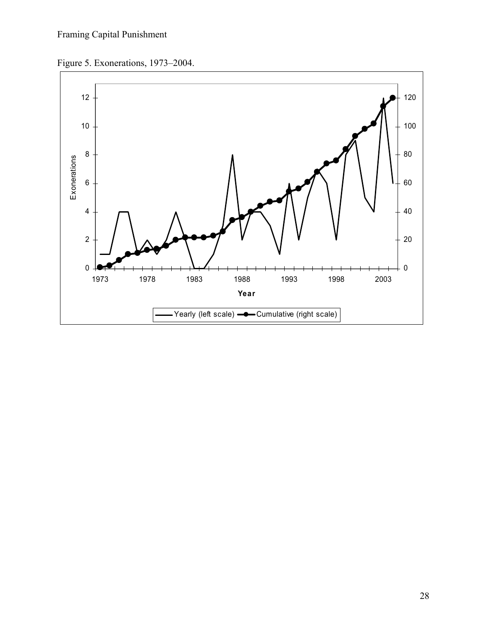Figure 5. Exonerations, 1973–2004.

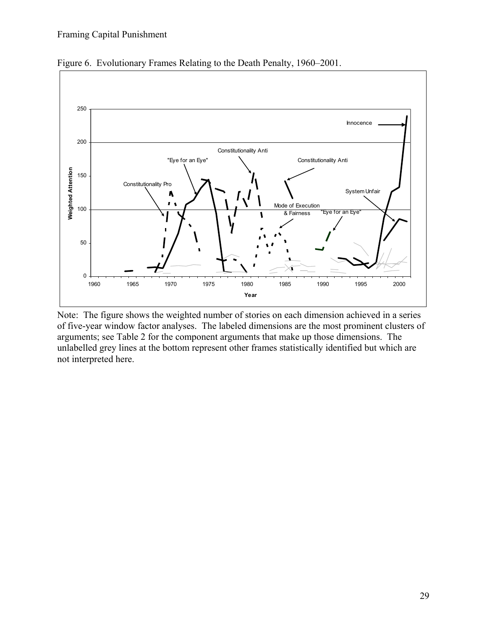

Figure 6. Evolutionary Frames Relating to the Death Penalty, 1960–2001.

Note: The figure shows the weighted number of stories on each dimension achieved in a series of five-year window factor analyses. The labeled dimensions are the most prominent clusters of arguments; see Table 2 for the component arguments that make up those dimensions. The unlabelled grey lines at the bottom represent other frames statistically identified but which are not interpreted here.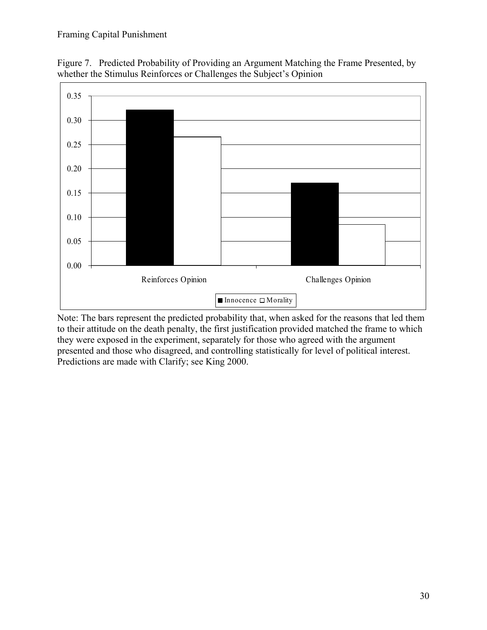



Note: The bars represent the predicted probability that, when asked for the reasons that led them to their attitude on the death penalty, the first justification provided matched the frame to which they were exposed in the experiment, separately for those who agreed with the argument presented and those who disagreed, and controlling statistically for level of political interest. Predictions are made with Clarify; see King 2000.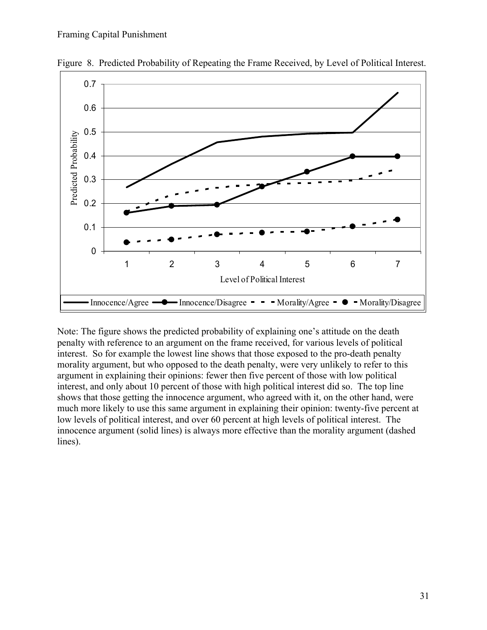

Figure 8. Predicted Probability of Repeating the Frame Received, by Level of Political Interest.

Note: The figure shows the predicted probability of explaining one's attitude on the death penalty with reference to an argument on the frame received, for various levels of political interest. So for example the lowest line shows that those exposed to the pro-death penalty morality argument, but who opposed to the death penalty, were very unlikely to refer to this argument in explaining their opinions: fewer then five percent of those with low political interest, and only about 10 percent of those with high political interest did so. The top line shows that those getting the innocence argument, who agreed with it, on the other hand, were much more likely to use this same argument in explaining their opinion: twenty-five percent at low levels of political interest, and over 60 percent at high levels of political interest. The innocence argument (solid lines) is always more effective than the morality argument (dashed lines).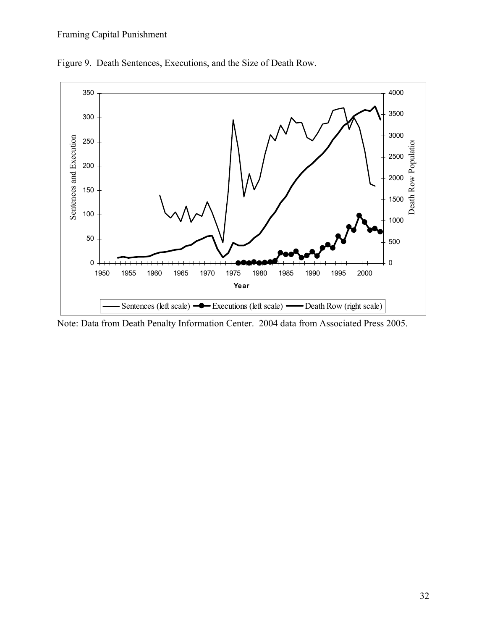

Figure 9. Death Sentences, Executions, and the Size of Death Row.

Note: Data from Death Penalty Information Center. 2004 data from Associated Press 2005.